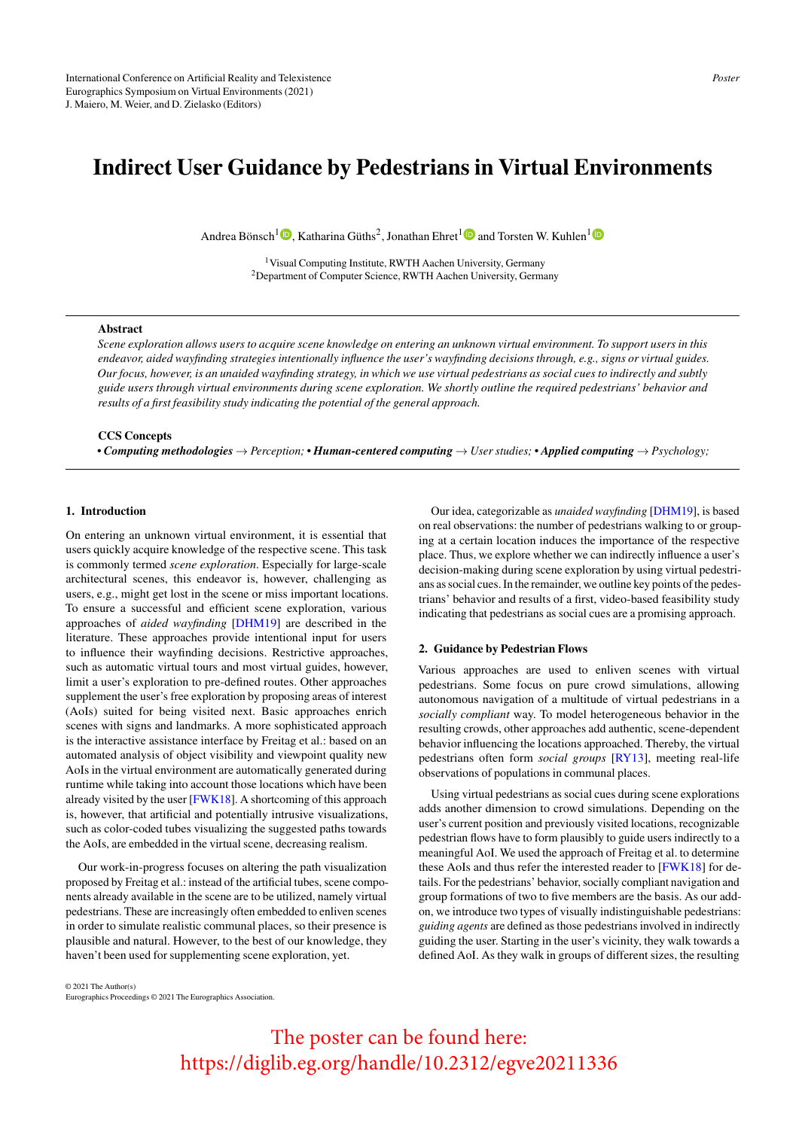## Indirect User Guidance by Pedestrians in Virtual Environments

Andrea Bönsch<sup>1</sup><sup>®</sup>[,](https://orcid.org/0000-0001-5077-3675) Katharina Güths<sup>2</sup>, Jonathan Ehret<sup>[1](https://orcid.org/0000-0003-2144-4367)</sup><sup>®</sup> and Torsten W. Kuhlen<sup>1</sup>

<sup>1</sup>Visual Computing Institute, RWTH Aachen University, Germany <sup>2</sup>Department of Computer Science, RWTH Aachen University, Germany

## Abstract

*Scene exploration allows users to acquire scene knowledge on entering an unknown virtual environment. To support users in this endeavor, aided wayfinding strategies intentionally influence the user's wayfinding decisions through, e.g., signs or virtual guides. Our focus, however, is an unaided wayfinding strategy, in which we use virtual pedestrians as social cues to indirectly and subtly guide users through virtual environments during scene exploration. We shortly outline the required pedestrians' behavior and results of a first feasibility study indicating the potential of the general approach.*

## CCS Concepts

*• Computing methodologies* → *Perception; • Human-centered computing* → *User studies; • Applied computing* → *Psychology;*

### 1. Introduction

On entering an unknown virtual environment, it is essential that users quickly acquire knowledge of the respective scene. This task is commonly termed *scene exploration*. Especially for large-scale architectural scenes, this endeavor is, however, challenging as users, e.g., might get lost in the scene or miss important locations. To ensure a successful and efficient scene exploration, various approaches of *aided wayfinding* [\[DHM19\]](#page-1-0) are described in the literature. These approaches provide intentional input for users to influence their wayfinding decisions. Restrictive approaches, such as automatic virtual tours and most virtual guides, however, limit a user's exploration to pre-defined routes. Other approaches supplement the user's free exploration by proposing areas of interest (AoIs) suited for being visited next. Basic approaches enrich scenes with signs and landmarks. A more sophisticated approach is the interactive assistance interface by Freitag et al.: based on an automated analysis of object visibility and viewpoint quality new AoIs in the virtual environment are automatically generated during runtime while taking into account those locations which have been already visited by the user [\[FWK18\]](#page-1-1). A shortcoming of this approach is, however, that artificial and potentially intrusive visualizations, such as color-coded tubes visualizing the suggested paths towards the AoIs, are embedded in the virtual scene, decreasing realism.

Our work-in-progress focuses on altering the path visualization proposed by Freitag et al.: instead of the artificial tubes, scene components already available in the scene are to be utilized, namely virtual pedestrians. These are increasingly often embedded to enliven scenes in order to simulate realistic communal places, so their presence is plausible and natural. However, to the best of our knowledge, they haven't been used for supplementing scene exploration, yet.

Our idea, categorizable as *unaided wayfinding* [\[DHM19\]](#page-1-0), is based on real observations: the number of pedestrians walking to or grouping at a certain location induces the importance of the respective place. Thus, we explore whether we can indirectly influence a user's decision-making during scene exploration by using virtual pedestrians as social cues. In the remainder, we outline key points of the pedestrians' behavior and results of a first, video-based feasibility study indicating that pedestrians as social cues are a promising approach.

#### 2. Guidance by Pedestrian Flows

Various approaches are used to enliven scenes with virtual pedestrians. Some focus on pure crowd simulations, allowing autonomous navigation of a multitude of virtual pedestrians in a *socially compliant* way. To model heterogeneous behavior in the resulting crowds, other approaches add authentic, scene-dependent behavior influencing the locations approached. Thereby, the virtual pedestrians often form *social groups* [\[RY13\]](#page-1-2), meeting real-life observations of populations in communal places.

Using virtual pedestrians as social cues during scene explorations adds another dimension to crowd simulations. Depending on the user's current position and previously visited locations, recognizable pedestrian flows have to form plausibly to guide users indirectly to a meaningful AoI. We used the approach of Freitag et al. to determine these AoIs and thus refer the interested reader to [\[FWK18\]](#page-1-1) for details. For the pedestrians' behavior, socially compliant navigation and group formations of two to five members are the basis. As our addon, we introduce two types of visually indistinguishable pedestrians: *guiding agents* are defined as those pedestrians involved in indirectly guiding the user. Starting in the user's vicinity, they walk towards a defined AoI. As they walk in groups of different sizes, the resulting

© 2021 The Author(s) Eurographics Proceedings © 2021 The Eurographics Association.

> The poster can be found here: https://diglib.eg.org/handle/10.2312/egve20211336